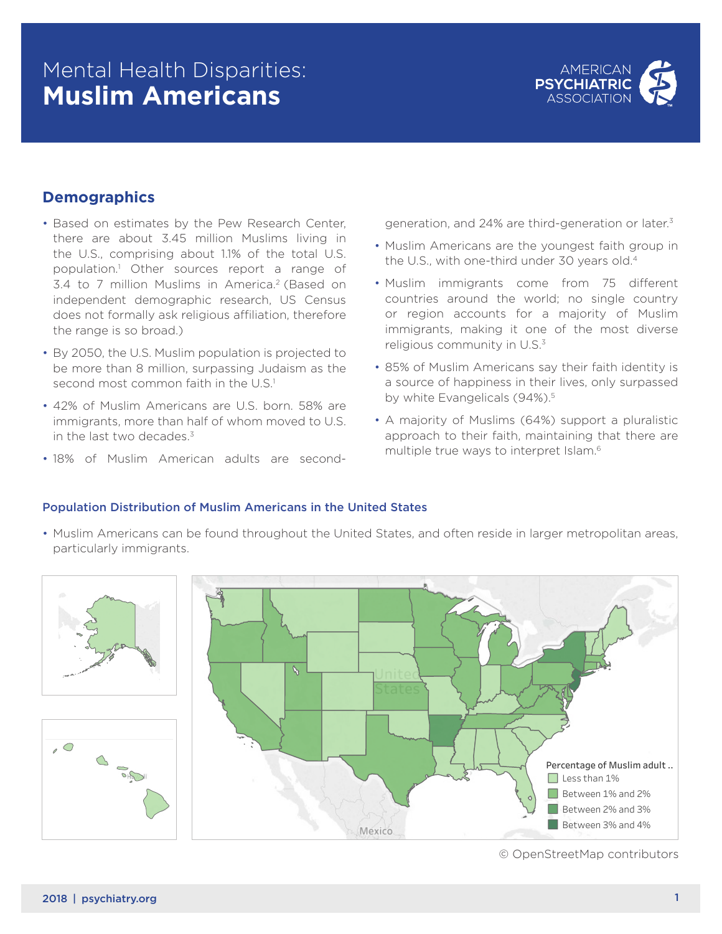# Mental Health Disparities: **Muslim Americans**



## **Demographics**

- Based on estimates by the Pew Research Center, there are about 3.45 million Muslims living in the U.S., comprising about 1.1% of the total U.S. population.1 Other sources report a range of 3.4 to 7 million Muslims in America.<sup>2</sup> (Based on independent demographic research, US Census does not formally ask religious affiliation, therefore the range is so broad.)
- **•** By 2050, the U.S. Muslim population is projected to be more than 8 million, surpassing Judaism as the second most common faith in the U.S.<sup>1</sup>
	- 42% of Muslim Americans are U.S. born. 58% are immigrants, more than half of whom moved to U.S. in the last two decades. $3$
	- 18% of Muslim American adults are second-

generation, and 24% are third-generation or later.3

- Muslim Americans are the youngest faith group in the U.S., with one-third under 30 years old.4
- Muslim immigrants come from 75 different countries around the world; no single country or region accounts for a majority of Muslim immigrants, making it one of the most diverse religious community in U.S.<sup>3</sup>
- 85% of Muslim Americans say their faith identity is a source of happiness in their lives, only surpassed by white Evangelicals (94%).<sup>5</sup>
- A majority of Muslims (64%) support a pluralistic approach to their faith, maintaining that there are multiple true ways to interpret Islam.6

#### Population Distribution of Muslim Americans in the United States

• Muslim Americans can be found throughout the United States, and often reside in larger metropolitan areas, particularly immigrants. **•** Muslim Americans can be found throughout the Uni



© OpenStreetMap contributors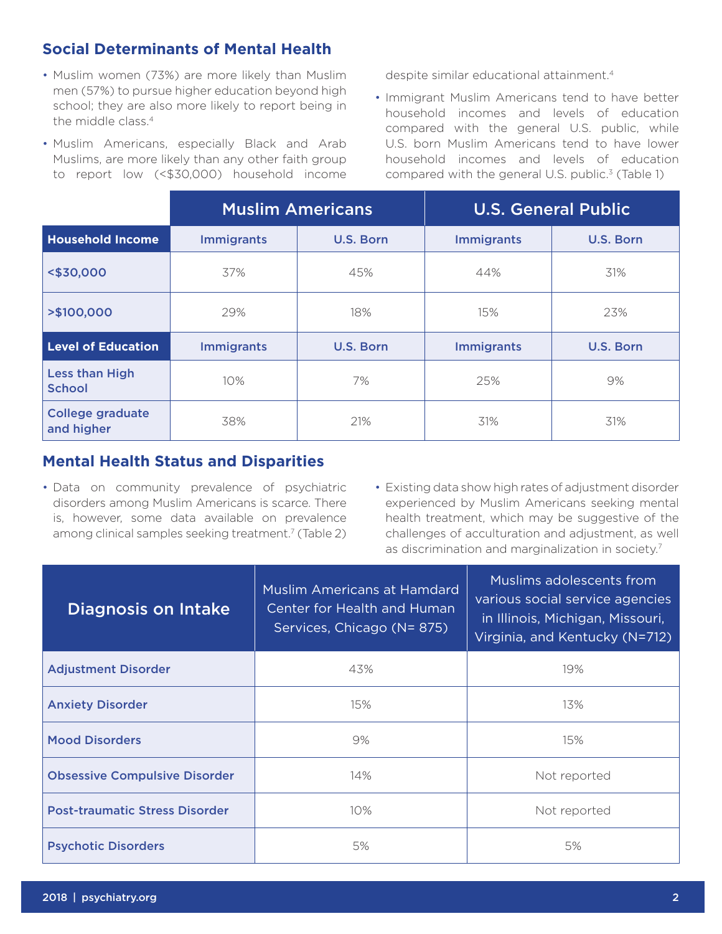# **Social Determinants of Mental Health**

- Muslim women (73%) are more likely than Muslim men (57%) to pursue higher education beyond high school; they are also more likely to report being in the middle class.<sup>4</sup>
- Muslim Americans, especially Black and Arab Muslims, are more likely than any other faith group to report low (<\$30,000) household income

despite similar educational attainment.4

• Immigrant Muslim Americans tend to have better household incomes and levels of education compared with the general U.S. public, while U.S. born Muslim Americans tend to have lower household incomes and levels of education compared with the general U.S. public. $3$  (Table 1)

|                                        | <b>Muslim Americans</b> |           | <b>U.S. General Public</b> |                  |
|----------------------------------------|-------------------------|-----------|----------------------------|------------------|
| <b>Household Income</b>                | <b>Immigrants</b>       | U.S. Born | <b>Immigrants</b>          | U.S. Born        |
| <\$30,000                              | 37%                     | 45%       | 44%                        | 31%              |
| >\$100,000                             | 29%                     | 18%       | 15%                        | 23%              |
| <b>Level of Education</b>              | <b>Immigrants</b>       | U.S. Born | <b>Immigrants</b>          | <b>U.S. Born</b> |
| <b>Less than High</b><br><b>School</b> | 10%                     | 7%        | 25%                        | 9%               |
| <b>College graduate</b><br>and higher  | 38%                     | 21%       | 31%                        | 31%              |

### **Mental Health Status and Disparities**

- Data on community prevalence of psychiatric disorders among Muslim Americans is scarce. There is, however, some data available on prevalence among clinical samples seeking treatment.<sup>7</sup> (Table 2)
- Existing data show high rates of adjustment disorder experienced by Muslim Americans seeking mental health treatment, which may be suggestive of the challenges of acculturation and adjustment, as well as discrimination and marginalization in society.<sup>7</sup>

| <b>Diagnosis on Intake</b>            | <b>Muslim Americans at Hamdard</b><br>Center for Health and Human<br>Services, Chicago (N=875) | Muslims adolescents from<br>various social service agencies<br>in Illinois, Michigan, Missouri,<br>Virginia, and Kentucky (N=712) |
|---------------------------------------|------------------------------------------------------------------------------------------------|-----------------------------------------------------------------------------------------------------------------------------------|
| <b>Adjustment Disorder</b>            | 43%                                                                                            | 19%                                                                                                                               |
| <b>Anxiety Disorder</b>               | 15%                                                                                            | 13%                                                                                                                               |
| <b>Mood Disorders</b>                 | 9%                                                                                             | 15%                                                                                                                               |
| <b>Obsessive Compulsive Disorder</b>  | 14%                                                                                            | Not reported                                                                                                                      |
| <b>Post-traumatic Stress Disorder</b> | $10\%$                                                                                         | Not reported                                                                                                                      |
| <b>Psychotic Disorders</b>            | 5%                                                                                             | 5%                                                                                                                                |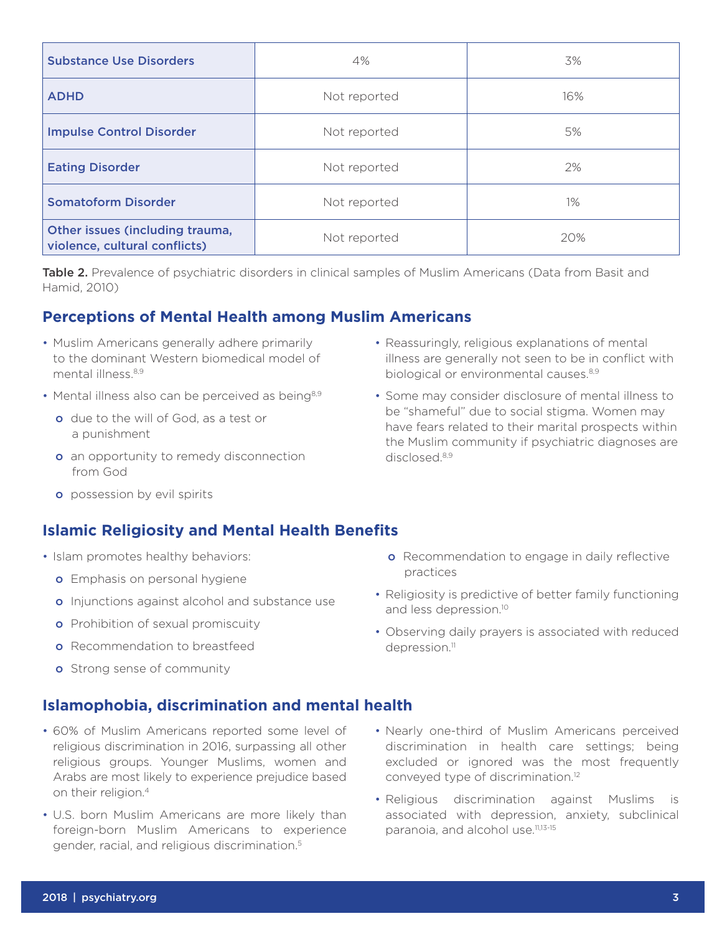| <b>Substance Use Disorders</b>                                   | 4%           | 3%    |
|------------------------------------------------------------------|--------------|-------|
| <b>ADHD</b>                                                      | Not reported | 16%   |
| <b>Impulse Control Disorder</b>                                  | Not reported | 5%    |
| <b>Eating Disorder</b>                                           | Not reported | 2%    |
| <b>Somatoform Disorder</b>                                       | Not reported | $1\%$ |
| Other issues (including trauma,<br>violence, cultural conflicts) | Not reported | 20%   |

Table 2. Prevalence of psychiatric disorders in clinical samples of Muslim Americans (Data from Basit and Hamid, 2010)

# **Perceptions of Mental Health among Muslim Americans**

- Muslim Americans generally adhere primarily to the dominant Western biomedical model of mental illness<sup>8,9</sup>
- Mental illness also can be perceived as being<sup>8,9</sup>
	- o due to the will of God, as a test or a punishment
	- **o** an opportunity to remedy disconnection from God
- Reassuringly, religious explanations of mental illness are generally not seen to be in conflict with biological or environmental causes.<sup>8,9</sup>
- Some may consider disclosure of mental illness to be "shameful" due to social stigma. Women may have fears related to their marital prospects within the Muslim community if psychiatric diagnoses are disclosed.8,9

**o** possession by evil spirits

# **Islamic Religiosity and Mental Health Benefits**

- Islam promotes healthy behaviors:
	- **o** Emphasis on personal hygiene
	- o Injunctions against alcohol and substance use
	- **o** Prohibition of sexual promiscuity
	- **o** Recommendation to breastfeed
	- **o** Strong sense of community

## **Islamophobia, discrimination and mental health**

- 60% of Muslim Americans reported some level of religious discrimination in 2016, surpassing all other religious groups. Younger Muslims, women and Arabs are most likely to experience prejudice based on their religion.<sup>4</sup>
- U.S. born Muslim Americans are more likely than foreign-born Muslim Americans to experience gender, racial, and religious discrimination.5
- **o** Recommendation to engage in daily reflective practices
- Religiosity is predictive of better family functioning and less depression.<sup>10</sup>
- Observing daily prayers is associated with reduced depression.<sup>11</sup>
- Nearly one-third of Muslim Americans perceived discrimination in health care settings; being excluded or ignored was the most frequently conveyed type of discrimination.12
- Religious discrimination against Muslims is associated with depression, anxiety, subclinical paranoia, and alcohol use.<sup>11,13-15</sup>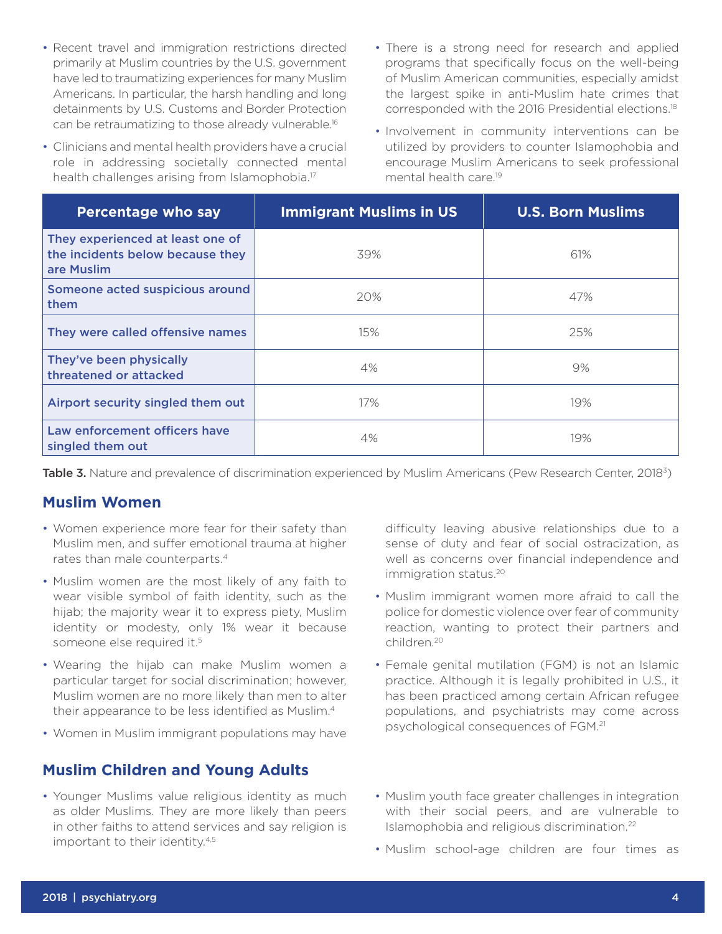- Recent travel and immigration restrictions directed primarily at Muslim countries by the U.S. government have led to traumatizing experiences for many Muslim Americans. In particular, the harsh handling and long detainments by U.S. Customs and Border Protection can be retraumatizing to those already vulnerable.16
- Clinicians and mental health providers have a crucial role in addressing societally connected mental health challenges arising from Islamophobia.<sup>17</sup>
- There is a strong need for research and applied programs that specifically focus on the well-being of Muslim American communities, especially amidst the largest spike in anti-Muslim hate crimes that corresponded with the 2016 Presidential elections.18
- Involvement in community interventions can be utilized by providers to counter Islamophobia and encourage Muslim Americans to seek professional mental health care.19

| <b>Percentage who say</b>                                                          | <b>Immigrant Muslims in US</b> | <b>U.S. Born Muslims</b> |
|------------------------------------------------------------------------------------|--------------------------------|--------------------------|
| They experienced at least one of<br>the incidents below because they<br>are Muslim | 39%                            | 61%                      |
| Someone acted suspicious around<br>them                                            | 20%                            | 47%                      |
| They were called offensive names                                                   | 15%                            | 25%                      |
| They've been physically<br>threatened or attacked                                  | 4%                             | 9%                       |
| Airport security singled them out                                                  | 17%                            | 19%                      |
| Law enforcement officers have<br>singled them out                                  | 4%                             | 19%                      |

Table 3. Nature and prevalence of discrimination experienced by Muslim Americans (Pew Research Center, 2018<sup>3</sup>)

#### **Muslim Women**

- Women experience more fear for their safety than Muslim men, and suffer emotional trauma at higher rates than male counterparts.<sup>4</sup>
- Muslim women are the most likely of any faith to wear visible symbol of faith identity, such as the hijab; the majority wear it to express piety, Muslim identity or modesty, only 1% wear it because someone else required it.<sup>5</sup>
- Wearing the hijab can make Muslim women a particular target for social discrimination; however, Muslim women are no more likely than men to alter their appearance to be less identified as Muslim.4
- Women in Muslim immigrant populations may have

#### **Muslim Children and Young Adults**

• Younger Muslims value religious identity as much as older Muslims. They are more likely than peers in other faiths to attend services and say religion is important to their identity.<sup>4,5</sup>

difficulty leaving abusive relationships due to a sense of duty and fear of social ostracization, as well as concerns over financial independence and immigration status.<sup>20</sup>

- Muslim immigrant women more afraid to call the police for domestic violence over fear of community reaction, wanting to protect their partners and children.20
- Female genital mutilation (FGM) is not an Islamic practice. Although it is legally prohibited in U.S., it has been practiced among certain African refugee populations, and psychiatrists may come across psychological consequences of FGM.21
- Muslim youth face greater challenges in integration with their social peers, and are vulnerable to Islamophobia and religious discrimination.22
- Muslim school-age children are four times as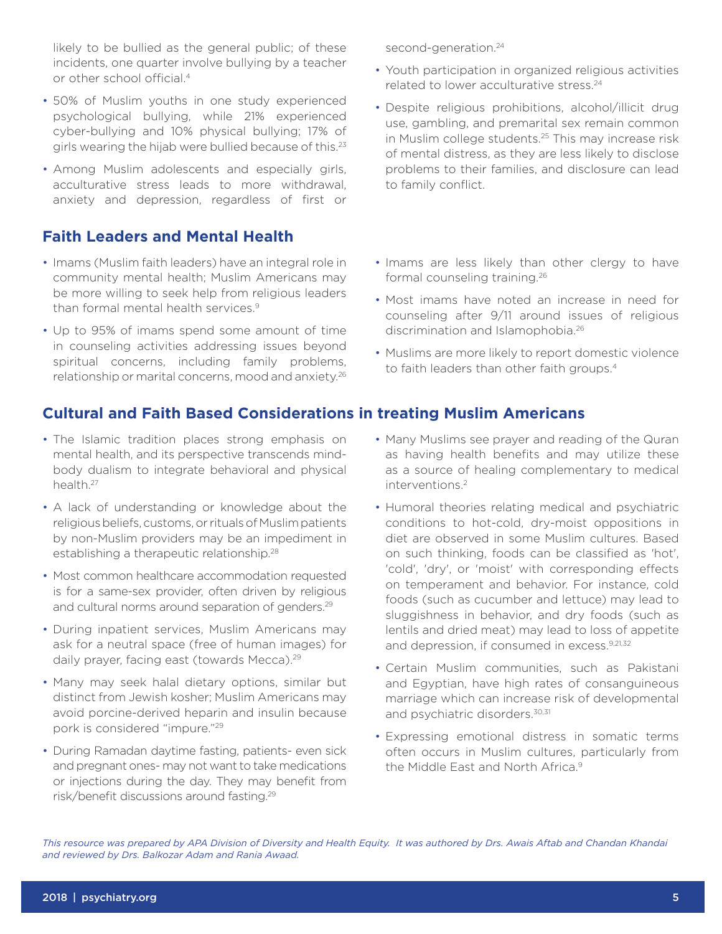likely to be bullied as the general public; of these incidents, one quarter involve bullying by a teacher or other school official.4

- 50% of Muslim youths in one study experienced psychological bullying, while 21% experienced cyber-bullying and 10% physical bullying; 17% of girls wearing the hijab were bullied because of this.<sup>23</sup>
- Among Muslim adolescents and especially girls, acculturative stress leads to more withdrawal, anxiety and depression, regardless of first or

## **Faith Leaders and Mental Health**

- Imams (Muslim faith leaders) have an integral role in community mental health; Muslim Americans may be more willing to seek help from religious leaders than formal mental health services.<sup>9</sup>
- Up to 95% of imams spend some amount of time in counseling activities addressing issues beyond spiritual concerns, including family problems, relationship or marital concerns, mood and anxiety.<sup>26</sup>

# **Cultural and Faith Based Considerations in treating Muslim Americans**

- The Islamic tradition places strong emphasis on mental health, and its perspective transcends mindbody dualism to integrate behavioral and physical health.27
- A lack of understanding or knowledge about the religious beliefs, customs, or rituals of Muslim patients by non-Muslim providers may be an impediment in establishing a therapeutic relationship.<sup>28</sup>
- Most common healthcare accommodation requested is for a same-sex provider, often driven by religious and cultural norms around separation of genders.<sup>29</sup>
- During inpatient services, Muslim Americans may ask for a neutral space (free of human images) for daily prayer, facing east (towards Mecca).<sup>29</sup>
- Many may seek halal dietary options, similar but distinct from Jewish kosher; Muslim Americans may avoid porcine-derived heparin and insulin because pork is considered "impure."29
- During Ramadan daytime fasting, patients- even sick and pregnant ones- may not want to take medications or injections during the day. They may benefit from risk/benefit discussions around fasting.29

second-generation.<sup>24</sup>

- Youth participation in organized religious activities related to lower acculturative stress.<sup>24</sup>
- Despite religious prohibitions, alcohol/illicit drug use, gambling, and premarital sex remain common in Muslim college students.25 This may increase risk of mental distress, as they are less likely to disclose problems to their families, and disclosure can lead to family conflict.
- Imams are less likely than other clergy to have formal counseling training.26
- Most imams have noted an increase in need for counseling after 9/11 around issues of religious discrimination and Islamophobia.26
- Muslims are more likely to report domestic violence to faith leaders than other faith groups.<sup>4</sup>
- Many Muslims see prayer and reading of the Quran as having health benefits and may utilize these as a source of healing complementary to medical interventions.2
- Humoral theories relating medical and psychiatric conditions to hot-cold, dry-moist oppositions in diet are observed in some Muslim cultures. Based on such thinking, foods can be classified as 'hot', 'cold', 'dry', or 'moist' with corresponding effects on temperament and behavior. For instance, cold foods (such as cucumber and lettuce) may lead to sluggishness in behavior, and dry foods (such as lentils and dried meat) may lead to loss of appetite and depression, if consumed in excess.<sup>9,21,32</sup>
- Certain Muslim communities, such as Pakistani and Egyptian, have high rates of consanguineous marriage which can increase risk of developmental and psychiatric disorders.30,31
- Expressing emotional distress in somatic terms often occurs in Muslim cultures, particularly from the Middle East and North Africa.9

*This resource was prepared by APA Division of Diversity and Health Equity. It was authored by Drs. Awais Aftab and Chandan Khandai and reviewed by Drs. Balkozar Adam and Rania Awaad.*